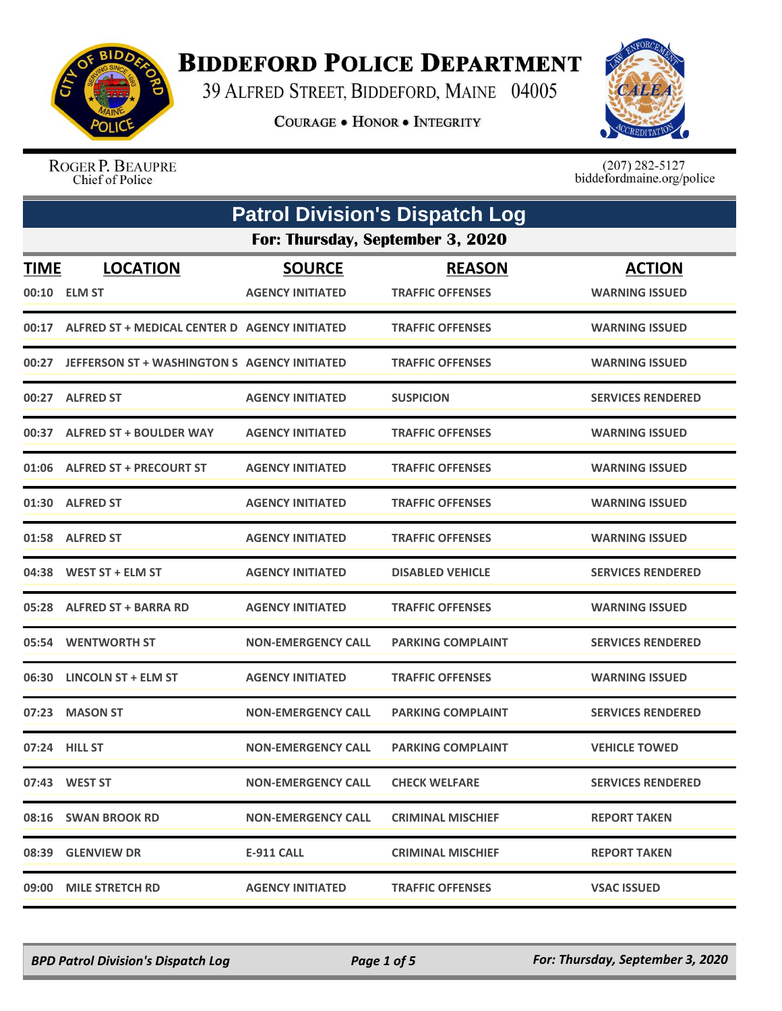

## **BIDDEFORD POLICE DEPARTMENT**

39 ALFRED STREET, BIDDEFORD, MAINE 04005

**COURAGE . HONOR . INTEGRITY** 



ROGER P. BEAUPRE Chief of Police

 $(207)$  282-5127<br>biddefordmaine.org/police

| <b>Patrol Division's Dispatch Log</b> |                                                     |                           |                          |                          |  |
|---------------------------------------|-----------------------------------------------------|---------------------------|--------------------------|--------------------------|--|
|                                       | For: Thursday, September 3, 2020                    |                           |                          |                          |  |
| <b>TIME</b>                           | <b>LOCATION</b>                                     | <b>SOURCE</b>             | <b>REASON</b>            | <b>ACTION</b>            |  |
| 00:10                                 | <b>ELM ST</b>                                       | <b>AGENCY INITIATED</b>   | <b>TRAFFIC OFFENSES</b>  | <b>WARNING ISSUED</b>    |  |
|                                       | 00:17 ALFRED ST + MEDICAL CENTER D AGENCY INITIATED |                           | <b>TRAFFIC OFFENSES</b>  | <b>WARNING ISSUED</b>    |  |
| 00:27                                 | JEFFERSON ST + WASHINGTON S AGENCY INITIATED        |                           | <b>TRAFFIC OFFENSES</b>  | <b>WARNING ISSUED</b>    |  |
|                                       | 00:27 ALFRED ST                                     | <b>AGENCY INITIATED</b>   | <b>SUSPICION</b>         | <b>SERVICES RENDERED</b> |  |
| 00:37                                 | <b>ALFRED ST + BOULDER WAY</b>                      | <b>AGENCY INITIATED</b>   | <b>TRAFFIC OFFENSES</b>  | <b>WARNING ISSUED</b>    |  |
|                                       | 01:06 ALFRED ST + PRECOURT ST                       | <b>AGENCY INITIATED</b>   | <b>TRAFFIC OFFENSES</b>  | <b>WARNING ISSUED</b>    |  |
|                                       | 01:30 ALFRED ST                                     | <b>AGENCY INITIATED</b>   | <b>TRAFFIC OFFENSES</b>  | <b>WARNING ISSUED</b>    |  |
|                                       | 01:58 ALFRED ST                                     | <b>AGENCY INITIATED</b>   | <b>TRAFFIC OFFENSES</b>  | <b>WARNING ISSUED</b>    |  |
|                                       | 04:38 WEST ST + ELM ST                              | <b>AGENCY INITIATED</b>   | <b>DISABLED VEHICLE</b>  | <b>SERVICES RENDERED</b> |  |
| 05:28                                 | <b>ALFRED ST + BARRA RD</b>                         | <b>AGENCY INITIATED</b>   | <b>TRAFFIC OFFENSES</b>  | <b>WARNING ISSUED</b>    |  |
|                                       | 05:54 WENTWORTH ST                                  | <b>NON-EMERGENCY CALL</b> | <b>PARKING COMPLAINT</b> | <b>SERVICES RENDERED</b> |  |
| 06:30                                 | LINCOLN ST + ELM ST                                 | <b>AGENCY INITIATED</b>   | <b>TRAFFIC OFFENSES</b>  | <b>WARNING ISSUED</b>    |  |
| 07:23                                 | <b>MASON ST</b>                                     | <b>NON-EMERGENCY CALL</b> | <b>PARKING COMPLAINT</b> | <b>SERVICES RENDERED</b> |  |
|                                       | 07:24 HILL ST                                       | <b>NON-EMERGENCY CALL</b> | <b>PARKING COMPLAINT</b> | <b>VEHICLE TOWED</b>     |  |
|                                       | 07:43 WEST ST                                       | <b>NON-EMERGENCY CALL</b> | <b>CHECK WELFARE</b>     | <b>SERVICES RENDERED</b> |  |
|                                       | 08:16 SWAN BROOK RD                                 | <b>NON-EMERGENCY CALL</b> | <b>CRIMINAL MISCHIEF</b> | <b>REPORT TAKEN</b>      |  |
|                                       | 08:39 GLENVIEW DR                                   | E-911 CALL                | <b>CRIMINAL MISCHIEF</b> | <b>REPORT TAKEN</b>      |  |
|                                       | 09:00 MILE STRETCH RD                               | <b>AGENCY INITIATED</b>   | <b>TRAFFIC OFFENSES</b>  | <b>VSAC ISSUED</b>       |  |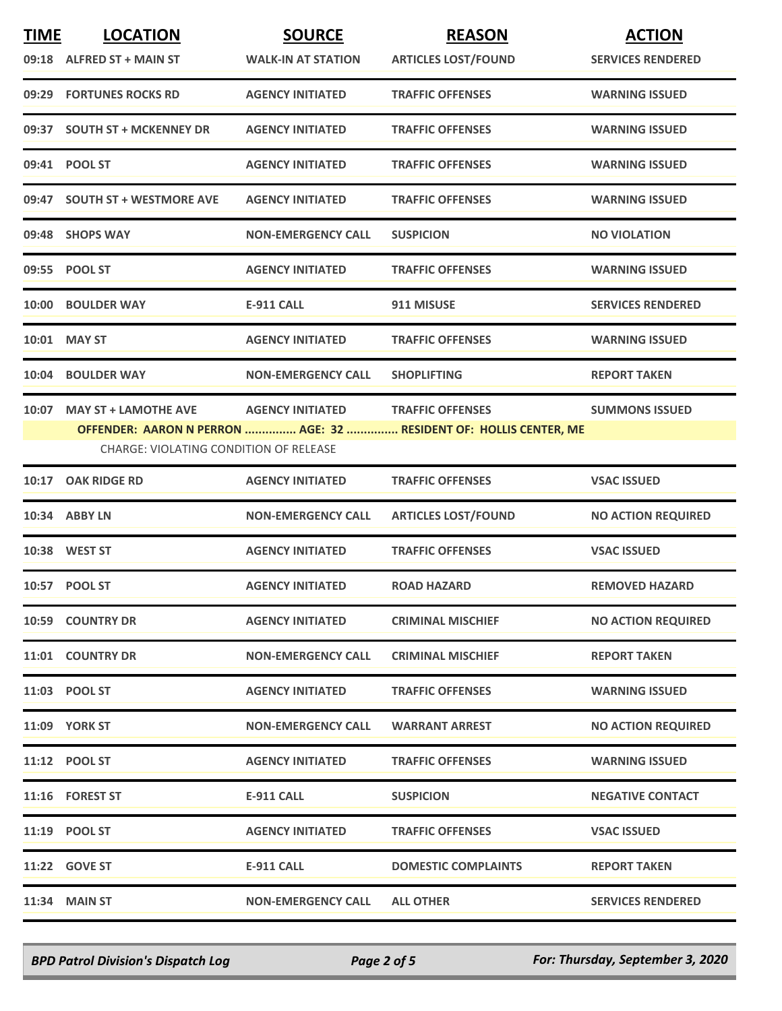| <b>TIME</b> | <b>LOCATION</b>                        | <b>SOURCE</b>             | <b>REASON</b>                                                     | <b>ACTION</b>             |
|-------------|----------------------------------------|---------------------------|-------------------------------------------------------------------|---------------------------|
|             | 09:18 ALFRED ST + MAIN ST              | <b>WALK-IN AT STATION</b> | <b>ARTICLES LOST/FOUND</b>                                        | <b>SERVICES RENDERED</b>  |
|             | 09:29 FORTUNES ROCKS RD                | <b>AGENCY INITIATED</b>   | <b>TRAFFIC OFFENSES</b>                                           | <b>WARNING ISSUED</b>     |
|             | 09:37 SOUTH ST + MCKENNEY DR           | <b>AGENCY INITIATED</b>   | <b>TRAFFIC OFFENSES</b>                                           | <b>WARNING ISSUED</b>     |
|             | 09:41 POOL ST                          | <b>AGENCY INITIATED</b>   | <b>TRAFFIC OFFENSES</b>                                           | <b>WARNING ISSUED</b>     |
|             | 09:47 SOUTH ST + WESTMORE AVE          | <b>AGENCY INITIATED</b>   | <b>TRAFFIC OFFENSES</b>                                           | <b>WARNING ISSUED</b>     |
|             | 09:48 SHOPS WAY                        | <b>NON-EMERGENCY CALL</b> | <b>SUSPICION</b>                                                  | <b>NO VIOLATION</b>       |
|             | 09:55 POOL ST                          | <b>AGENCY INITIATED</b>   | <b>TRAFFIC OFFENSES</b>                                           | <b>WARNING ISSUED</b>     |
|             | 10:00 BOULDER WAY                      | E-911 CALL                | 911 MISUSE                                                        | <b>SERVICES RENDERED</b>  |
|             | 10:01 MAY ST                           | <b>AGENCY INITIATED</b>   | <b>TRAFFIC OFFENSES</b>                                           | <b>WARNING ISSUED</b>     |
|             | 10:04 BOULDER WAY                      | <b>NON-EMERGENCY CALL</b> | <b>SHOPLIFTING</b>                                                | <b>REPORT TAKEN</b>       |
|             | 10:07 MAY ST + LAMOTHE AVE             | <b>AGENCY INITIATED</b>   | <b>TRAFFIC OFFENSES</b>                                           | <b>SUMMONS ISSUED</b>     |
|             | CHARGE: VIOLATING CONDITION OF RELEASE |                           | OFFENDER: AARON N PERRON  AGE: 32  RESIDENT OF: HOLLIS CENTER, ME |                           |
| 10:17       | <b>OAK RIDGE RD</b>                    | <b>AGENCY INITIATED</b>   | <b>TRAFFIC OFFENSES</b>                                           | <b>VSAC ISSUED</b>        |
|             | 10:34 ABBY LN                          | <b>NON-EMERGENCY CALL</b> | <b>ARTICLES LOST/FOUND</b>                                        | <b>NO ACTION REQUIRED</b> |
|             | 10:38 WEST ST                          | <b>AGENCY INITIATED</b>   | <b>TRAFFIC OFFENSES</b>                                           | <b>VSAC ISSUED</b>        |
|             | 10:57 POOL ST                          | <b>AGENCY INITIATED</b>   | <b>ROAD HAZARD</b>                                                | <b>REMOVED HAZARD</b>     |
|             | <b>10:59 COUNTRY DR</b>                | <b>AGENCY INITIATED</b>   | <b>CRIMINAL MISCHIEF</b>                                          | <b>NO ACTION REQUIRED</b> |
|             | 11:01 COUNTRY DR                       | <b>NON-EMERGENCY CALL</b> | <b>CRIMINAL MISCHIEF</b>                                          | <b>REPORT TAKEN</b>       |
|             | 11:03 POOL ST                          | <b>AGENCY INITIATED</b>   | <b>TRAFFIC OFFENSES</b>                                           | <b>WARNING ISSUED</b>     |
|             | <b>11:09 YORK ST</b>                   | <b>NON-EMERGENCY CALL</b> | <b>WARRANT ARREST</b>                                             | <b>NO ACTION REQUIRED</b> |
|             | 11:12 POOL ST                          | <b>AGENCY INITIATED</b>   | <b>TRAFFIC OFFENSES</b>                                           | <b>WARNING ISSUED</b>     |
|             | 11:16 FOREST ST                        | <b>E-911 CALL</b>         | <b>SUSPICION</b>                                                  | <b>NEGATIVE CONTACT</b>   |
|             | 11:19 POOL ST                          | <b>AGENCY INITIATED</b>   | <b>TRAFFIC OFFENSES</b>                                           | <b>VSAC ISSUED</b>        |
|             | <b>11:22 GOVE ST</b>                   | <b>E-911 CALL</b>         | <b>DOMESTIC COMPLAINTS</b>                                        | <b>REPORT TAKEN</b>       |
|             | <b>11:34 MAIN ST</b>                   | <b>NON-EMERGENCY CALL</b> | <b>ALL OTHER</b>                                                  | <b>SERVICES RENDERED</b>  |

*BPD Patrol Division's Dispatch Log Page 2 of 5 For: Thursday, September 3, 2020*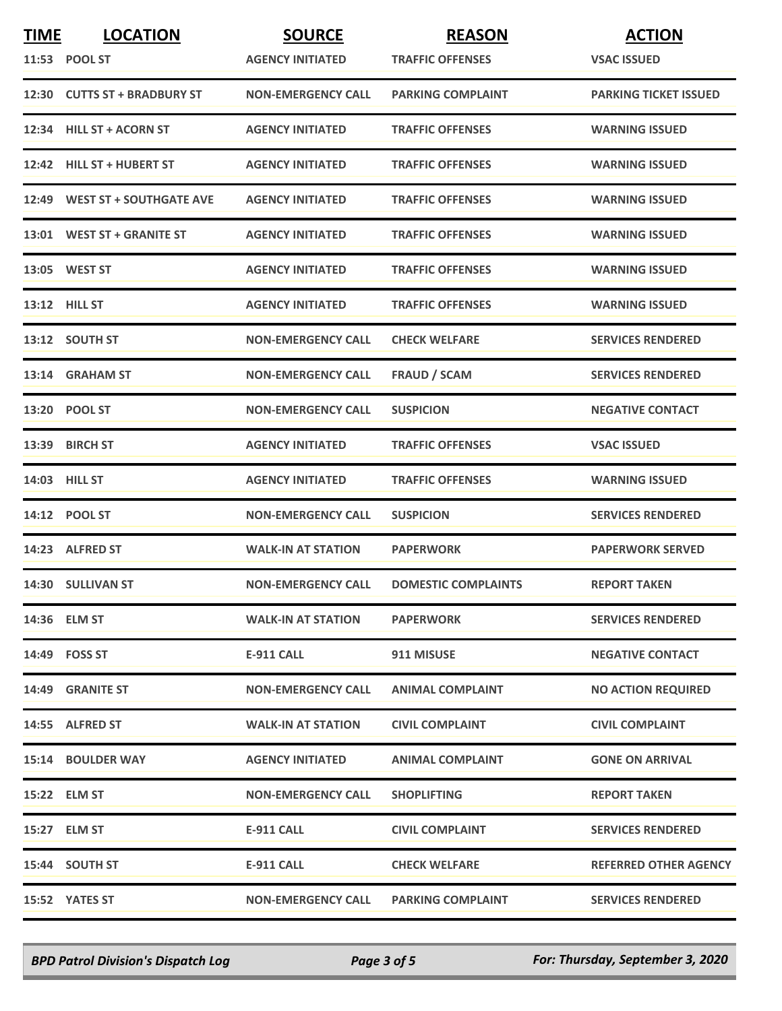| <b>TIME</b> | <b>LOCATION</b>               | <b>SOURCE</b>             | <b>REASON</b>              | <b>ACTION</b>                |
|-------------|-------------------------------|---------------------------|----------------------------|------------------------------|
|             | 11:53 POOL ST                 | <b>AGENCY INITIATED</b>   | <b>TRAFFIC OFFENSES</b>    | <b>VSAC ISSUED</b>           |
|             | 12:30 CUTTS ST + BRADBURY ST  | <b>NON-EMERGENCY CALL</b> | <b>PARKING COMPLAINT</b>   | <b>PARKING TICKET ISSUED</b> |
|             | 12:34 HILL ST + ACORN ST      | <b>AGENCY INITIATED</b>   | <b>TRAFFIC OFFENSES</b>    | <b>WARNING ISSUED</b>        |
|             | 12:42 HILL ST + HUBERT ST     | <b>AGENCY INITIATED</b>   | <b>TRAFFIC OFFENSES</b>    | <b>WARNING ISSUED</b>        |
|             | 12:49 WEST ST + SOUTHGATE AVE | <b>AGENCY INITIATED</b>   | <b>TRAFFIC OFFENSES</b>    | <b>WARNING ISSUED</b>        |
|             | 13:01 WEST ST + GRANITE ST    | <b>AGENCY INITIATED</b>   | <b>TRAFFIC OFFENSES</b>    | <b>WARNING ISSUED</b>        |
|             | 13:05 WEST ST                 | <b>AGENCY INITIATED</b>   | <b>TRAFFIC OFFENSES</b>    | <b>WARNING ISSUED</b>        |
|             | <b>13:12 HILL ST</b>          | <b>AGENCY INITIATED</b>   | <b>TRAFFIC OFFENSES</b>    | <b>WARNING ISSUED</b>        |
|             | 13:12 SOUTH ST                | <b>NON-EMERGENCY CALL</b> | <b>CHECK WELFARE</b>       | <b>SERVICES RENDERED</b>     |
|             | 13:14 GRAHAM ST               | <b>NON-EMERGENCY CALL</b> | <b>FRAUD / SCAM</b>        | <b>SERVICES RENDERED</b>     |
|             | 13:20 POOL ST                 | <b>NON-EMERGENCY CALL</b> | <b>SUSPICION</b>           | <b>NEGATIVE CONTACT</b>      |
|             | 13:39 BIRCH ST                | <b>AGENCY INITIATED</b>   | <b>TRAFFIC OFFENSES</b>    | <b>VSAC ISSUED</b>           |
|             | 14:03 HILL ST                 | <b>AGENCY INITIATED</b>   | <b>TRAFFIC OFFENSES</b>    | <b>WARNING ISSUED</b>        |
|             | 14:12 POOL ST                 | <b>NON-EMERGENCY CALL</b> | <b>SUSPICION</b>           | <b>SERVICES RENDERED</b>     |
|             | 14:23 ALFRED ST               | <b>WALK-IN AT STATION</b> | <b>PAPERWORK</b>           | <b>PAPERWORK SERVED</b>      |
|             | 14:30 SULLIVAN ST             | <b>NON-EMERGENCY CALL</b> | <b>DOMESTIC COMPLAINTS</b> | <b>REPORT TAKEN</b>          |
|             | 14:36 ELM ST                  | <b>WALK-IN AT STATION</b> | <b>PAPERWORK</b>           | <b>SERVICES RENDERED</b>     |
|             | 14:49 FOSS ST                 | E-911 CALL                | 911 MISUSE                 | <b>NEGATIVE CONTACT</b>      |
|             | 14:49 GRANITE ST              | <b>NON-EMERGENCY CALL</b> | <b>ANIMAL COMPLAINT</b>    | <b>NO ACTION REQUIRED</b>    |
|             | 14:55 ALFRED ST               | <b>WALK-IN AT STATION</b> | <b>CIVIL COMPLAINT</b>     | <b>CIVIL COMPLAINT</b>       |
|             | <b>15:14 BOULDER WAY</b>      | <b>AGENCY INITIATED</b>   | <b>ANIMAL COMPLAINT</b>    | <b>GONE ON ARRIVAL</b>       |
|             | 15:22 ELM ST                  | <b>NON-EMERGENCY CALL</b> | <b>SHOPLIFTING</b>         | <b>REPORT TAKEN</b>          |
|             | 15:27 ELM ST                  | E-911 CALL                | <b>CIVIL COMPLAINT</b>     | <b>SERVICES RENDERED</b>     |
|             | 15:44 SOUTH ST                | E-911 CALL                | <b>CHECK WELFARE</b>       | <b>REFERRED OTHER AGENCY</b> |
|             | 15:52 YATES ST                | <b>NON-EMERGENCY CALL</b> | <b>PARKING COMPLAINT</b>   | <b>SERVICES RENDERED</b>     |

*BPD Patrol Division's Dispatch Log Page 3 of 5 For: Thursday, September 3, 2020*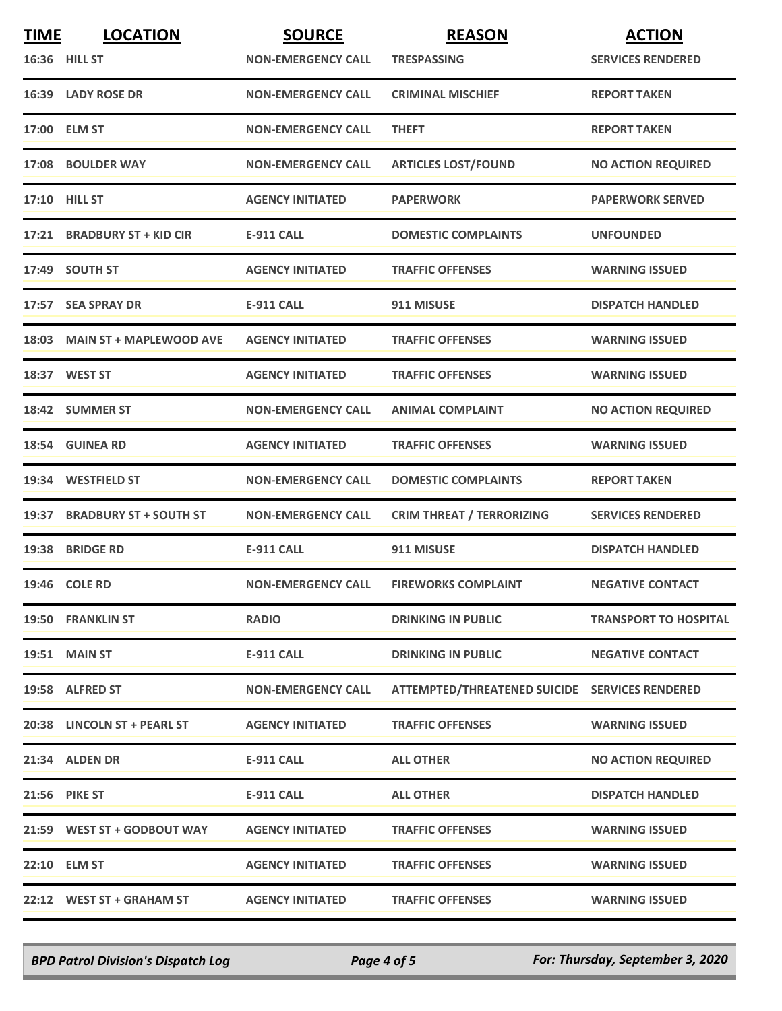| <b>TIME</b> | <b>LOCATION</b>               | <b>SOURCE</b>             | <b>REASON</b>                                  | <b>ACTION</b>                |
|-------------|-------------------------------|---------------------------|------------------------------------------------|------------------------------|
|             | 16:36 HILL ST                 | <b>NON-EMERGENCY CALL</b> | <b>TRESPASSING</b>                             | <b>SERVICES RENDERED</b>     |
|             | 16:39 LADY ROSE DR            | <b>NON-EMERGENCY CALL</b> | <b>CRIMINAL MISCHIEF</b>                       | <b>REPORT TAKEN</b>          |
|             | 17:00 ELM ST                  | <b>NON-EMERGENCY CALL</b> | <b>THEFT</b>                                   | <b>REPORT TAKEN</b>          |
|             | 17:08 BOULDER WAY             | <b>NON-EMERGENCY CALL</b> | <b>ARTICLES LOST/FOUND</b>                     | <b>NO ACTION REQUIRED</b>    |
|             | 17:10 HILL ST                 | <b>AGENCY INITIATED</b>   | <b>PAPERWORK</b>                               | <b>PAPERWORK SERVED</b>      |
|             | 17:21 BRADBURY ST + KID CIR   | <b>E-911 CALL</b>         | <b>DOMESTIC COMPLAINTS</b>                     | <b>UNFOUNDED</b>             |
|             | 17:49 SOUTH ST                | <b>AGENCY INITIATED</b>   | <b>TRAFFIC OFFENSES</b>                        | <b>WARNING ISSUED</b>        |
|             | 17:57 SEA SPRAY DR            | <b>E-911 CALL</b>         | 911 MISUSE                                     | <b>DISPATCH HANDLED</b>      |
|             | 18:03 MAIN ST + MAPLEWOOD AVE | <b>AGENCY INITIATED</b>   | <b>TRAFFIC OFFENSES</b>                        | <b>WARNING ISSUED</b>        |
|             | 18:37 WEST ST                 | <b>AGENCY INITIATED</b>   | <b>TRAFFIC OFFENSES</b>                        | <b>WARNING ISSUED</b>        |
|             | 18:42 SUMMER ST               | <b>NON-EMERGENCY CALL</b> | <b>ANIMAL COMPLAINT</b>                        | <b>NO ACTION REQUIRED</b>    |
|             | 18:54 GUINEA RD               | <b>AGENCY INITIATED</b>   | <b>TRAFFIC OFFENSES</b>                        | <b>WARNING ISSUED</b>        |
|             | 19:34 WESTFIELD ST            | <b>NON-EMERGENCY CALL</b> | <b>DOMESTIC COMPLAINTS</b>                     | <b>REPORT TAKEN</b>          |
|             | 19:37 BRADBURY ST + SOUTH ST  | <b>NON-EMERGENCY CALL</b> | <b>CRIM THREAT / TERRORIZING</b>               | <b>SERVICES RENDERED</b>     |
|             | 19:38 BRIDGE RD               | <b>E-911 CALL</b>         | 911 MISUSE                                     | <b>DISPATCH HANDLED</b>      |
|             | 19:46 COLE RD                 | <b>NON-EMERGENCY CALL</b> | <b>FIREWORKS COMPLAINT</b>                     | <b>NEGATIVE CONTACT</b>      |
|             | 19:50 FRANKLIN ST             | <b>RADIO</b>              | <b>DRINKING IN PUBLIC</b>                      | <b>TRANSPORT TO HOSPITAL</b> |
|             | <b>19:51 MAIN ST</b>          | E-911 CALL                | <b>DRINKING IN PUBLIC</b>                      | <b>NEGATIVE CONTACT</b>      |
|             | 19:58 ALFRED ST               | <b>NON-EMERGENCY CALL</b> | ATTEMPTED/THREATENED SUICIDE SERVICES RENDERED |                              |
|             | 20:38 LINCOLN ST + PEARL ST   | <b>AGENCY INITIATED</b>   | <b>TRAFFIC OFFENSES</b>                        | <b>WARNING ISSUED</b>        |
|             | 21:34 ALDEN DR                | E-911 CALL                | <b>ALL OTHER</b>                               | <b>NO ACTION REQUIRED</b>    |
|             | 21:56 PIKE ST                 | E-911 CALL                | <b>ALL OTHER</b>                               | <b>DISPATCH HANDLED</b>      |
|             | 21:59 WEST ST + GODBOUT WAY   | <b>AGENCY INITIATED</b>   | <b>TRAFFIC OFFENSES</b>                        | <b>WARNING ISSUED</b>        |
|             | 22:10 ELM ST                  | <b>AGENCY INITIATED</b>   | <b>TRAFFIC OFFENSES</b>                        | <b>WARNING ISSUED</b>        |
|             | 22:12 WEST ST + GRAHAM ST     | <b>AGENCY INITIATED</b>   | <b>TRAFFIC OFFENSES</b>                        | <b>WARNING ISSUED</b>        |

*BPD Patrol Division's Dispatch Log Page 4 of 5 For: Thursday, September 3, 2020*